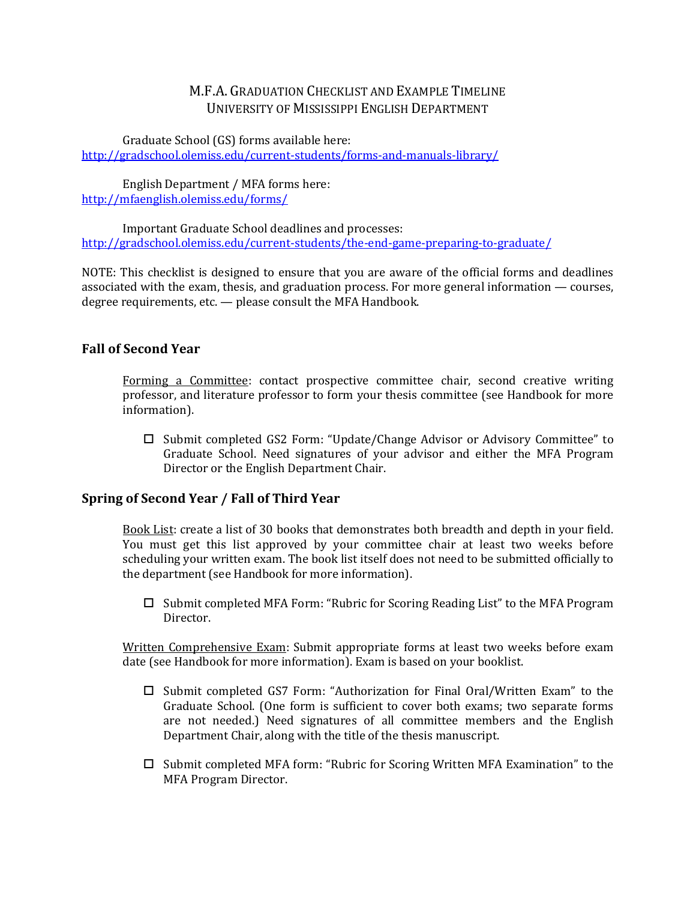# M.F.A. GRADUATION CHECKLIST AND EXAMPLE TIMELINE UNIVERSITY OF MISSISSIPPI ENGLISH DEPARTMENT

Graduate School (GS) forms available here: <http://gradschool.olemiss.edu/current-students/forms-and-manuals-library/>

English Department / MFA forms here: <http://mfaenglish.olemiss.edu/forms/>

Important Graduate School deadlines and processes: <http://gradschool.olemiss.edu/current-students/the-end-game-preparing-to-graduate/>

NOTE: This checklist is designed to ensure that you are aware of the official forms and deadlines associated with the exam, thesis, and graduation process. For more general information — courses, degree requirements, etc. — please consult the MFA Handbook.

# **Fall of Second Year**

Forming a Committee: contact prospective committee chair, second creative writing professor, and literature professor to form your thesis committee (see Handbook for more information).

 Submit completed GS2 Form: "Update/Change Advisor or Advisory Committee" to Graduate School. Need signatures of your advisor and either the MFA Program Director or the English Department Chair.

### **Spring of Second Year / Fall of Third Year**

Book List: create a list of 30 books that demonstrates both breadth and depth in your field. You must get this list approved by your committee chair at least two weeks before scheduling your written exam. The book list itself does not need to be submitted officially to the department (see Handbook for more information).

 $\Box$  Submit completed MFA Form: "Rubric for Scoring Reading List" to the MFA Program Director.

Written Comprehensive Exam: Submit appropriate forms at least two weeks before exam date (see Handbook for more information). Exam is based on your booklist.

- □ Submit completed GS7 Form: "Authorization for Final Oral/Written Exam" to the Graduate School. (One form is sufficient to cover both exams; two separate forms are not needed.) Need signatures of all committee members and the English Department Chair, along with the title of the thesis manuscript.
- $\Box$  Submit completed MFA form: "Rubric for Scoring Written MFA Examination" to the MFA Program Director.